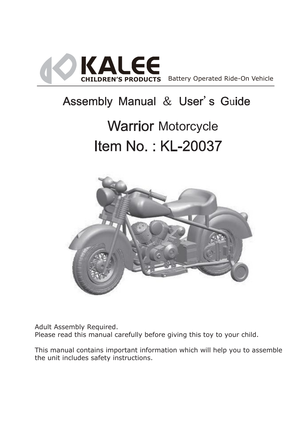

# Assembly Manual & User's Guide

# **Warrior Motorcycle** Item No.: KL-20037



Adult Assembly Required. Please read this manual carefully before giving this toy to your child.

This manual contains important information which will help you to assemble the unit includes safety instructions.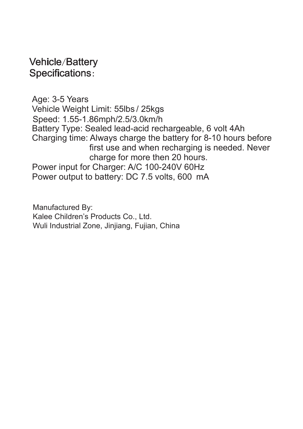#### **Vehicle/Battery Specifications:**

Age: 3-5 Years Vehicle Weight Limit: 55lbs / 25kgs Battery Type: Sealed lead-acid rechargeable, 6 volt 4Ah Charging time: Always charge the battery for 8-10 hours before first use and when recharging is needed. Never charge for more then 20 hours. Power input for Charger: A/C 100-240V 60Hz Power output to battery: DC 7.5 volts, 600 mA Speed: 1.55-1.86mph/2.5/3.0km/h

Manufactured By: Kalee Children's Products Co., Ltd. Wuli Industrial Zone, Jinjiang, Fujian, China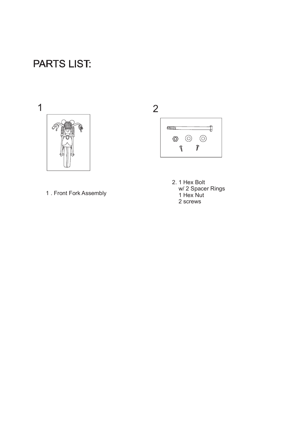## **PARTS LIST:**



1 . Front Fork Assembly



2. 1 Hex Bolt w/ 2 Spacer Rings 1 Hex Nut 2 screws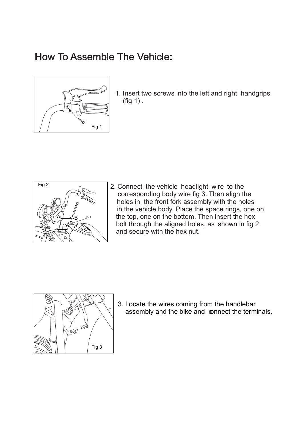## How To Assemble The Vehicle:



1. Insert two screws into the left and right handgrips (fig 1) .



2. Connect the vehicle headlight wire to the corresponding body wire fig 3. Then align the holes in the front fork assembly with the holes in the vehicle body. Place the space rings, one on the top, one on the bottom. Then insert the hex bolt through the aligned holes, as shown in fig 2 and secure with the hex nut.



3. Locate the wires coming from the handlebar assembly and the bike and connect the terminals.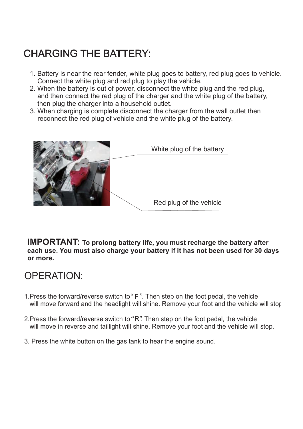# **CHARGING THE BATTERY:**

- 1. Battery is near the rear fender, white plug goes to battery, red plug goes to vehicle. Connect the white plug and red plug to play the vehicle.
- 2. When the battery is out of power, disconnect the white plug and the red plug, and then connect the red plug of the charger and the white plug of the battery, then plug the charger into a household outlet.
- 3. When charging is complete disconnect the charger from the wall outlet then reconnect the red plug of vehicle and the white plug of the battery.



IMPORTANT: To prolong battery life, you must recharge the battery after each use. You must also charge your battery if it has not been used for 30 days or more.

#### OPERATION:

- 1.Press the forward/reverse switch to"F". Then step on the foot pedal, the vehicle will move forward and the headlight will shine. Remove your foot and the vehicle will stor.
- 2. Press the forward/reverse switch to "R". Then step on the foot pedal, the vehicle will move in reverse and taillight will shine. Remove your foot and the vehicle will stop.
- 3. Press the white button on the gas tank to hear the engine sound.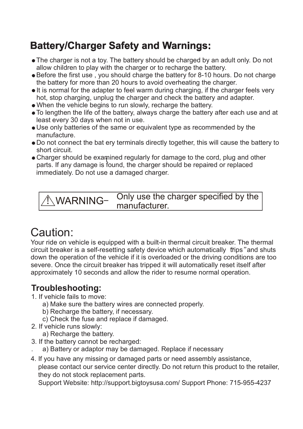## **Battery/Charger Safety and Warnings:**

- The charger is not a toy. The battery should be charged by an adult only. Do not allow children to play with the charger or to recharge the battery.
- Before the first use , you should charge the battery for 8-10 hours. Do not charge the battery for more than 20 hours to avoid overheating the charger.
- It is normal for the adapter to feel warm during charging, if the charger feels very hot, stop charging, unplug the charger and check the battery and adapter.
- When the vehicle begins to run slowly, recharge the battery.
- To lengthen the life of the battery, always charge the battery after each use and at least every 30 days when not in use.
- Use only batteries of the same or equivalent type as recommended by the manufacture.
- Do not connect the bat ery terminals directly together, this will cause the battery to short circuit.
- Charger should be examined regularly for damage to the cord, plug and other parts. If any damage is found, the charger should be repaired or replaced immediately. Do not use a damaged charger.

Only use the charger specified by the manufacturer.  $\overline{\mathbb{A}}$ WARNING-

# Caution:

Your ride on vehicle is equipped with a built-in thermal circuit breaker. The thermal circuit breaker is a self-resetting safety device which automatically frips" and shuts down the operation of the vehicle if it is overloaded or the driving conditions are too severe. Once the circuit breaker has tripped it will automatically reset itself after approximately 10 seconds and allow the rider to resume normal operation.

#### Troubleshooting:

- 1. If vehicle fails to move:
	- a) Make sure the battery wires are connected properly.
	- b) Recharge the battery, if necessary.
	- c) Check the fuse and replace if damaged.
- 2. If vehicle runs slowly:
	- a) Recharge the battery.
- 3. If the battery cannot be recharged:
	- . a) Battery or adaptor may be damaged. Replace if necessary
- 4. If you have any missing or damaged parts or need assembly assistance, please contact our service center directly. Do not return this product to the retailer, they do not stock replacement parts.

Support Website: http://support.bigtoysusa.com/ Support Phone: 715-955-4237